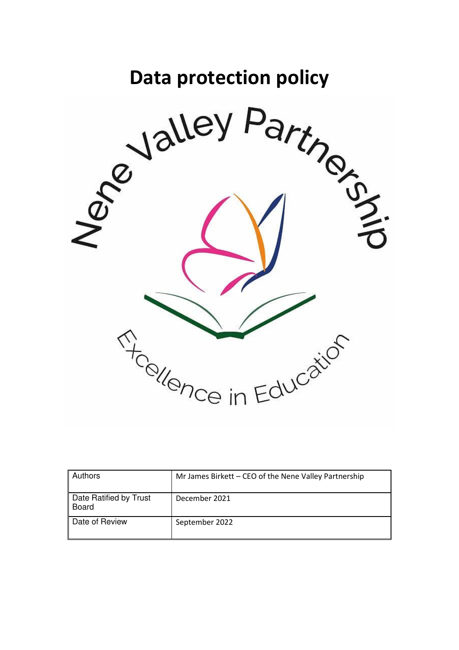# **Data protection policy**



| <b>Authors</b>                  | Mr James Birkett - CEO of the Nene Valley Partnership |
|---------------------------------|-------------------------------------------------------|
| Date Ratified by Trust<br>Board | December 2021                                         |
| Date of Review                  | September 2022                                        |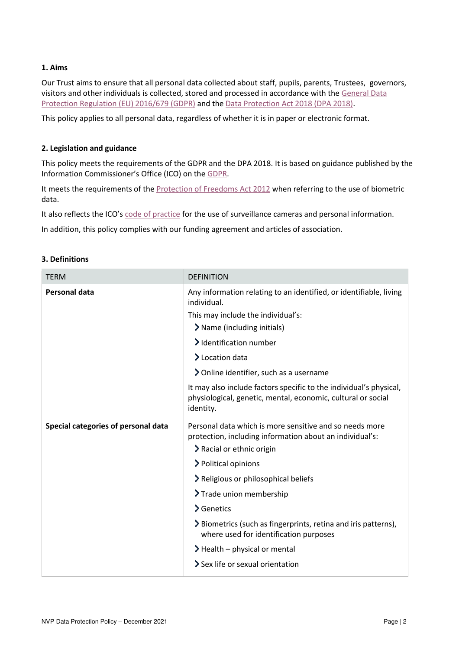# **1. Aims**

Our Trust aims to ensure that all personal data collected about staff, pupils, parents, Trustees, governors, visitors and other individuals is collected, stored and processed in accordance with the [General Data](https://eur-lex.europa.eu/legal-content/EN/TXT/?qid=1528874672298&uri=CELEX:02016R0679-20160504)  [Protection Regulation \(EU\) 2016/679 \(GDPR\)](https://eur-lex.europa.eu/legal-content/EN/TXT/?qid=1528874672298&uri=CELEX:02016R0679-20160504) and th[e Data Protection Act 2018 \(DPA 2018\).](http://www.legislation.gov.uk/ukpga/2018/12/contents/enacted)

This policy applies to all personal data, regardless of whether it is in paper or electronic format.

## **2. Legislation and guidance**

This policy meets the requirements of the GDPR and the DPA 2018. It is based on guidance published by the Information Commissioner's Office (ICO) on th[e GDPR.](https://ico.org.uk/for-organisations/guide-to-the-general-data-protection-regulation-gdpr/)

It meets the requirements of th[e Protection of Freedoms Act 2012](https://www.legislation.gov.uk/ukpga/2012/9/part/1/chapter/2) when referring to the use of biometric data.

It also reflects the ICO's [code of practice](https://ico.org.uk/media/for-organisations/documents/1542/cctv-code-of-practice.pdf) for the use of surveillance cameras and personal information.

In addition, this policy complies with our funding agreement and articles of association.

| <b>TERM</b>                         | <b>DEFINITION</b>                                                                                                                                |
|-------------------------------------|--------------------------------------------------------------------------------------------------------------------------------------------------|
| Personal data                       | Any information relating to an identified, or identifiable, living<br>individual.                                                                |
|                                     | This may include the individual's:                                                                                                               |
|                                     | > Name (including initials)                                                                                                                      |
|                                     | > Identification number                                                                                                                          |
|                                     | > Location data                                                                                                                                  |
|                                     | > Online identifier, such as a username                                                                                                          |
|                                     | It may also include factors specific to the individual's physical,<br>physiological, genetic, mental, economic, cultural or social<br>identity.  |
| Special categories of personal data | Personal data which is more sensitive and so needs more<br>protection, including information about an individual's:<br>> Racial or ethnic origin |
|                                     | > Political opinions                                                                                                                             |
|                                     | > Religious or philosophical beliefs                                                                                                             |
|                                     | > Trade union membership                                                                                                                         |
|                                     | $\sum$ Genetics                                                                                                                                  |
|                                     | > Biometrics (such as fingerprints, retina and iris patterns),<br>where used for identification purposes                                         |
|                                     | $\blacktriangleright$ Health – physical or mental                                                                                                |
|                                     | $\ge$ Sex life or sexual orientation                                                                                                             |

#### **3. Definitions**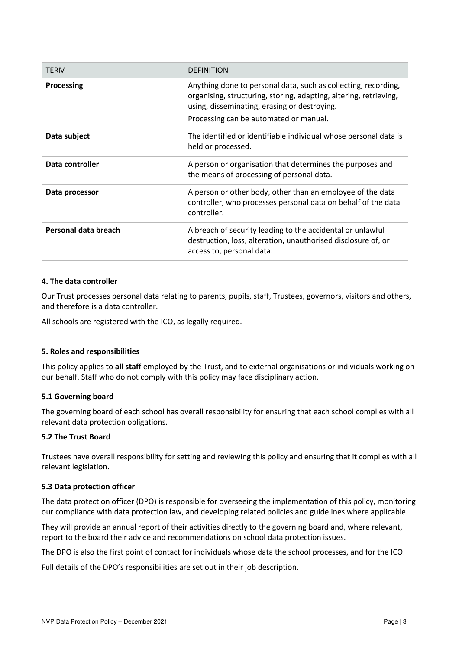| <b>TERM</b>          | <b>DEFINITION</b>                                                                                                                                                                                                             |
|----------------------|-------------------------------------------------------------------------------------------------------------------------------------------------------------------------------------------------------------------------------|
| Processing           | Anything done to personal data, such as collecting, recording,<br>organising, structuring, storing, adapting, altering, retrieving,<br>using, disseminating, erasing or destroying.<br>Processing can be automated or manual. |
| Data subject         | The identified or identifiable individual whose personal data is<br>held or processed.                                                                                                                                        |
| Data controller      | A person or organisation that determines the purposes and<br>the means of processing of personal data.                                                                                                                        |
| Data processor       | A person or other body, other than an employee of the data<br>controller, who processes personal data on behalf of the data<br>controller.                                                                                    |
| Personal data breach | A breach of security leading to the accidental or unlawful<br>destruction, loss, alteration, unauthorised disclosure of, or<br>access to, personal data.                                                                      |

## **4. The data controller**

Our Trust processes personal data relating to parents, pupils, staff, Trustees, governors, visitors and others, and therefore is a data controller.

All schools are registered with the ICO, as legally required.

## **5. Roles and responsibilities**

This policy applies to **all staff** employed by the Trust, and to external organisations or individuals working on our behalf. Staff who do not comply with this policy may face disciplinary action.

## **5.1 Governing board**

The governing board of each school has overall responsibility for ensuring that each school complies with all relevant data protection obligations.

## **5.2 The Trust Board**

Trustees have overall responsibility for setting and reviewing this policy and ensuring that it complies with all relevant legislation.

## **5.3 Data protection officer**

The data protection officer (DPO) is responsible for overseeing the implementation of this policy, monitoring our compliance with data protection law, and developing related policies and guidelines where applicable.

They will provide an annual report of their activities directly to the governing board and, where relevant, report to the board their advice and recommendations on school data protection issues.

The DPO is also the first point of contact for individuals whose data the school processes, and for the ICO.

Full details of the DPO's responsibilities are set out in their job description.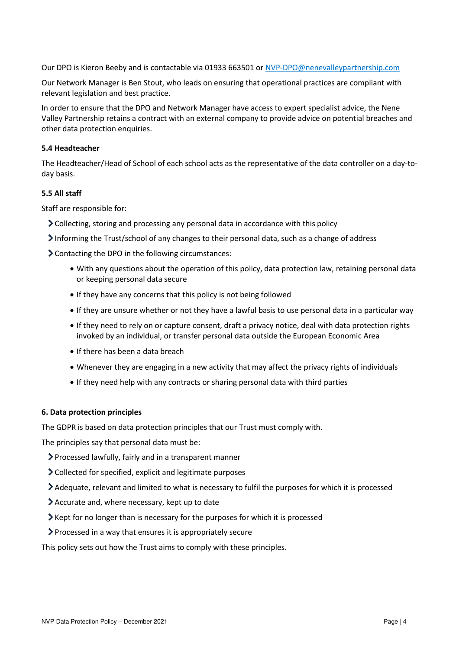Our DPO is Kieron Beeby and is contactable via 01933 663501 or [NVP-DPO@nenevalleypartnership.com](mailto:NVP-DPO@nenevalleypartnership.com)

Our Network Manager is Ben Stout, who leads on ensuring that operational practices are compliant with relevant legislation and best practice.

In order to ensure that the DPO and Network Manager have access to expert specialist advice, the Nene Valley Partnership retains a contract with an external company to provide advice on potential breaches and other data protection enquiries.

## **5.4 Headteacher**

The Headteacher/Head of School of each school acts as the representative of the data controller on a day-today basis.

## **5.5 All staff**

Staff are responsible for:

- Collecting, storing and processing any personal data in accordance with this policy
- Informing the Trust/school of any changes to their personal data, such as a change of address
- Contacting the DPO in the following circumstances:
	- With any questions about the operation of this policy, data protection law, retaining personal data or keeping personal data secure
	- If they have any concerns that this policy is not being followed
	- If they are unsure whether or not they have a lawful basis to use personal data in a particular way
	- If they need to rely on or capture consent, draft a privacy notice, deal with data protection rights invoked by an individual, or transfer personal data outside the European Economic Area
	- If there has been a data breach
	- Whenever they are engaging in a new activity that may affect the privacy rights of individuals
	- If they need help with any contracts or sharing personal data with third parties

## **6. Data protection principles**

The GDPR is based on data protection principles that our Trust must comply with.

The principles say that personal data must be:

- Processed lawfully, fairly and in a transparent manner
- Collected for specified, explicit and legitimate purposes
- Adequate, relevant and limited to what is necessary to fulfil the purposes for which it is processed
- Accurate and, where necessary, kept up to date
- Kept for no longer than is necessary for the purposes for which it is processed
- Processed in a way that ensures it is appropriately secure

This policy sets out how the Trust aims to comply with these principles.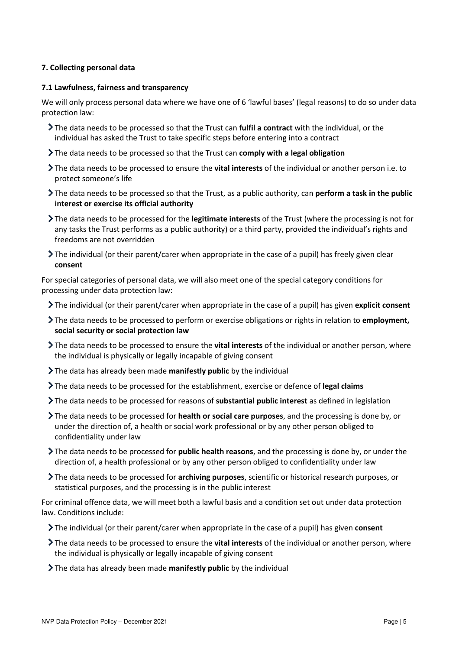# **7. Collecting personal data**

#### **7.1 Lawfulness, fairness and transparency**

We will only process personal data where we have one of 6 'lawful bases' (legal reasons) to do so under data protection law:

- The data needs to be processed so that the Trust can **fulfil a contract** with the individual, or the individual has asked the Trust to take specific steps before entering into a contract
- The data needs to be processed so that the Trust can **comply with a legal obligation**
- The data needs to be processed to ensure the **vital interests** of the individual or another person i.e. to protect someone's life
- The data needs to be processed so that the Trust, as a public authority, can **perform a task in the public interest or exercise its official authority**
- The data needs to be processed for the **legitimate interests** of the Trust (where the processing is not for any tasks the Trust performs as a public authority) or a third party, provided the individual's rights and freedoms are not overridden
- The individual (or their parent/carer when appropriate in the case of a pupil) has freely given clear **consent**

For special categories of personal data, we will also meet one of the special category conditions for processing under data protection law:

- The individual (or their parent/carer when appropriate in the case of a pupil) has given **explicit consent**
- The data needs to be processed to perform or exercise obligations or rights in relation to **employment, social security or social protection law**
- The data needs to be processed to ensure the **vital interests** of the individual or another person, where the individual is physically or legally incapable of giving consent
- The data has already been made **manifestly public** by the individual
- The data needs to be processed for the establishment, exercise or defence of **legal claims**
- The data needs to be processed for reasons of **substantial public interest** as defined in legislation
- The data needs to be processed for **health or social care purposes**, and the processing is done by, or under the direction of, a health or social work professional or by any other person obliged to confidentiality under law
- The data needs to be processed for **public health reasons**, and the processing is done by, or under the direction of, a health professional or by any other person obliged to confidentiality under law
- The data needs to be processed for **archiving purposes**, scientific or historical research purposes, or statistical purposes, and the processing is in the public interest

For criminal offence data, we will meet both a lawful basis and a condition set out under data protection law. Conditions include:

- The individual (or their parent/carer when appropriate in the case of a pupil) has given **consent**
- The data needs to be processed to ensure the **vital interests** of the individual or another person, where the individual is physically or legally incapable of giving consent
- The data has already been made **manifestly public** by the individual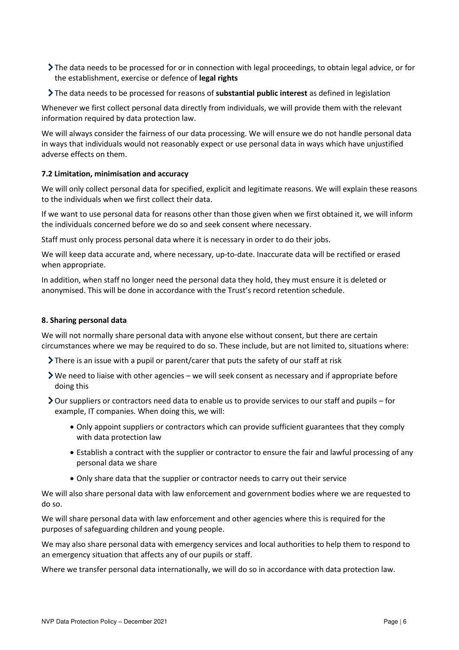- The data needs to be processed for or in connection with legal proceedings, to obtain legal advice, or for the establishment, exercise or defence of **legal rights**
- The data needs to be processed for reasons of **substantial public interest** as defined in legislation

Whenever we first collect personal data directly from individuals, we will provide them with the relevant information required by data protection law.

We will always consider the fairness of our data processing. We will ensure we do not handle personal data in ways that individuals would not reasonably expect or use personal data in ways which have unjustified adverse effects on them.

# **7.2 Limitation, minimisation and accuracy**

We will only collect personal data for specified, explicit and legitimate reasons. We will explain these reasons to the individuals when we first collect their data.

If we want to use personal data for reasons other than those given when we first obtained it, we will inform the individuals concerned before we do so and seek consent where necessary.

Staff must only process personal data where it is necessary in order to do their jobs.

We will keep data accurate and, where necessary, up-to-date. Inaccurate data will be rectified or erased when appropriate.

In addition, when staff no longer need the personal data they hold, they must ensure it is deleted or anonymised. This will be done in accordance with the Trust's record retention schedule.

# **8. Sharing personal data**

We will not normally share personal data with anyone else without consent, but there are certain circumstances where we may be required to do so. These include, but are not limited to, situations where:

- There is an issue with a pupil or parent/carer that puts the safety of our staff at risk
- We need to liaise with other agencies we will seek consent as necessary and if appropriate before doing this
- Our suppliers or contractors need data to enable us to provide services to our staff and pupils for example, IT companies. When doing this, we will:
	- Only appoint suppliers or contractors which can provide sufficient guarantees that they comply with data protection law
	- Establish a contract with the supplier or contractor to ensure the fair and lawful processing of any personal data we share
	- Only share data that the supplier or contractor needs to carry out their service

We will also share personal data with law enforcement and government bodies where we are requested to do so.

We will share personal data with law enforcement and other agencies where this is required for the purposes of safeguarding children and young people.

We may also share personal data with emergency services and local authorities to help them to respond to an emergency situation that affects any of our pupils or staff.

Where we transfer personal data internationally, we will do so in accordance with data protection law.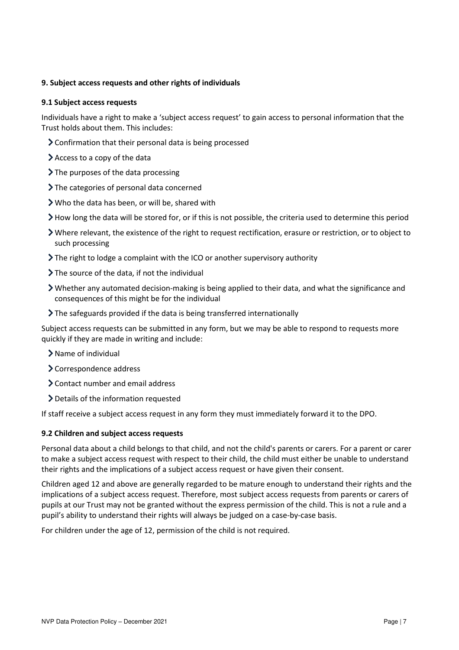## **9. Subject access requests and other rights of individuals**

#### **9.1 Subject access requests**

Individuals have a right to make a 'subject access request' to gain access to personal information that the Trust holds about them. This includes:

- Confirmation that their personal data is being processed
- Access to a copy of the data
- > The purposes of the data processing
- > The categories of personal data concerned
- Who the data has been, or will be, shared with
- How long the data will be stored for, or if this is not possible, the criteria used to determine this period
- Where relevant, the existence of the right to request rectification, erasure or restriction, or to object to such processing
- The right to lodge a complaint with the ICO or another supervisory authority
- $\sum$  The source of the data, if not the individual
- Whether any automated decision-making is being applied to their data, and what the significance and consequences of this might be for the individual
- The safeguards provided if the data is being transferred internationally

Subject access requests can be submitted in any form, but we may be able to respond to requests more quickly if they are made in writing and include:

- > Name of individual
- Correspondence address
- Contact number and email address
- Details of the information requested

If staff receive a subject access request in any form they must immediately forward it to the DPO.

## **9.2 Children and subject access requests**

Personal data about a child belongs to that child, and not the child's parents or carers. For a parent or carer to make a subject access request with respect to their child, the child must either be unable to understand their rights and the implications of a subject access request or have given their consent.

Children aged 12 and above are generally regarded to be mature enough to understand their rights and the implications of a subject access request. Therefore, most subject access requests from parents or carers of pupils at our Trust may not be granted without the express permission of the child. This is not a rule and a pupil's ability to understand their rights will always be judged on a case-by-case basis.

For children under the age of 12, permission of the child is not required.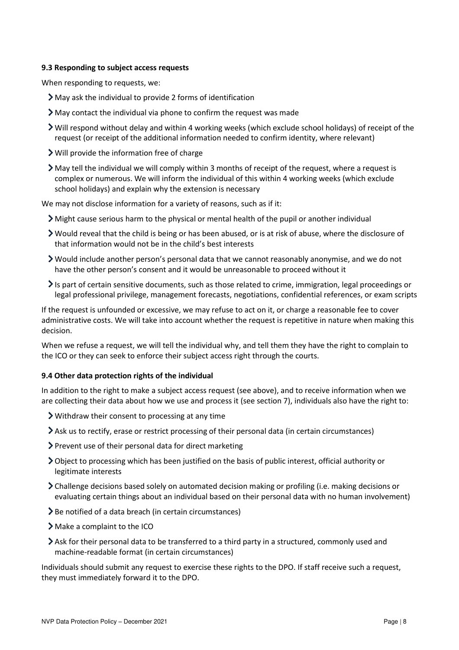## **9.3 Responding to subject access requests**

When responding to requests, we:

- May ask the individual to provide 2 forms of identification
- May contact the individual via phone to confirm the request was made
- Will respond without delay and within 4 working weeks (which exclude school holidays) of receipt of the request (or receipt of the additional information needed to confirm identity, where relevant)
- Will provide the information free of charge
- May tell the individual we will comply within 3 months of receipt of the request, where a request is complex or numerous. We will inform the individual of this within 4 working weeks (which exclude school holidays) and explain why the extension is necessary

We may not disclose information for a variety of reasons, such as if it:

- $\sum$  Might cause serious harm to the physical or mental health of the pupil or another individual
- Would reveal that the child is being or has been abused, or is at risk of abuse, where the disclosure of that information would not be in the child's best interests
- Would include another person's personal data that we cannot reasonably anonymise, and we do not have the other person's consent and it would be unreasonable to proceed without it
- $\geq$  Is part of certain sensitive documents, such as those related to crime, immigration, legal proceedings or legal professional privilege, management forecasts, negotiations, confidential references, or exam scripts

If the request is unfounded or excessive, we may refuse to act on it, or charge a reasonable fee to cover administrative costs. We will take into account whether the request is repetitive in nature when making this decision.

When we refuse a request, we will tell the individual why, and tell them they have the right to complain to the ICO or they can seek to enforce their subject access right through the courts.

# **9.4 Other data protection rights of the individual**

In addition to the right to make a subject access request (see above), and to receive information when we are collecting their data about how we use and process it (see section 7), individuals also have the right to:

- Withdraw their consent to processing at any time
- Ask us to rectify, erase or restrict processing of their personal data (in certain circumstances)
- $\triangleright$  Prevent use of their personal data for direct marketing
- Object to processing which has been justified on the basis of public interest, official authority or legitimate interests
- Challenge decisions based solely on automated decision making or profiling (i.e. making decisions or evaluating certain things about an individual based on their personal data with no human involvement)
- > Be notified of a data breach (in certain circumstances)
- Make a complaint to the ICO
- Ask for their personal data to be transferred to a third party in a structured, commonly used and machine-readable format (in certain circumstances)

Individuals should submit any request to exercise these rights to the DPO. If staff receive such a request, they must immediately forward it to the DPO.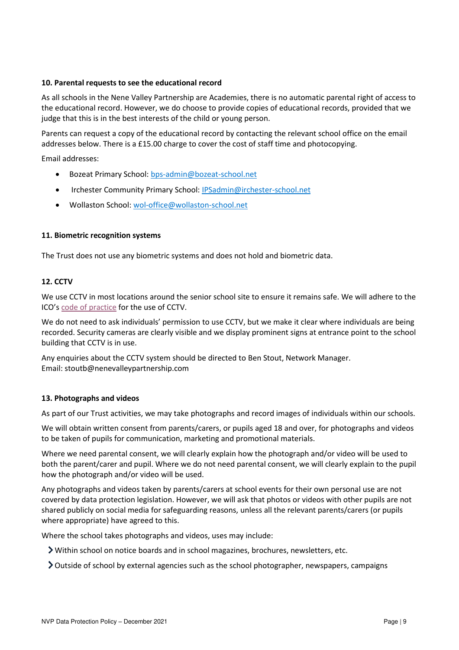#### **10. Parental requests to see the educational record**

As all schools in the Nene Valley Partnership are Academies, there is no automatic parental right of access to the educational record. However, we do choose to provide copies of educational records, provided that we judge that this is in the best interests of the child or young person.

Parents can request a copy of the educational record by contacting the relevant school office on the email addresses below. There is a £15.00 charge to cover the cost of staff time and photocopying.

Email addresses:

- Bozeat Primary School: [bps-admin@bozeat-school.net](mailto:bps-admin@bozeat-school.net)
- Irchester Community Primary School[: IPSadmin@irchester-school.net](mailto:IPSadmin@irchester-school.net)
- Wollaston School: [wol-office@wollaston-school.net](mailto:wol-office@wollaston-school.net)

#### **11. Biometric recognition systems**

The Trust does not use any biometric systems and does not hold and biometric data.

#### **12. CCTV**

We use CCTV in most locations around the senior school site to ensure it remains safe. We will adhere to the ICO's [code of practice](https://ico.org.uk/media/for-organisations/documents/1542/cctv-code-of-practice.pdf) for the use of CCTV.

We do not need to ask individuals' permission to use CCTV, but we make it clear where individuals are being recorded. Security cameras are clearly visible and we display prominent signs at entrance point to the school building that CCTV is in use.

Any enquiries about the CCTV system should be directed to Ben Stout, Network Manager. Email: stoutb@nenevalleypartnership.com

#### **13. Photographs and videos**

As part of our Trust activities, we may take photographs and record images of individuals within our schools.

We will obtain written consent from parents/carers, or pupils aged 18 and over, for photographs and videos to be taken of pupils for communication, marketing and promotional materials.

Where we need parental consent, we will clearly explain how the photograph and/or video will be used to both the parent/carer and pupil. Where we do not need parental consent, we will clearly explain to the pupil how the photograph and/or video will be used.

Any photographs and videos taken by parents/carers at school events for their own personal use are not covered by data protection legislation. However, we will ask that photos or videos with other pupils are not shared publicly on social media for safeguarding reasons, unless all the relevant parents/carers (or pupils where appropriate) have agreed to this.

Where the school takes photographs and videos, uses may include:

Within school on notice boards and in school magazines, brochures, newsletters, etc.

Outside of school by external agencies such as the school photographer, newspapers, campaigns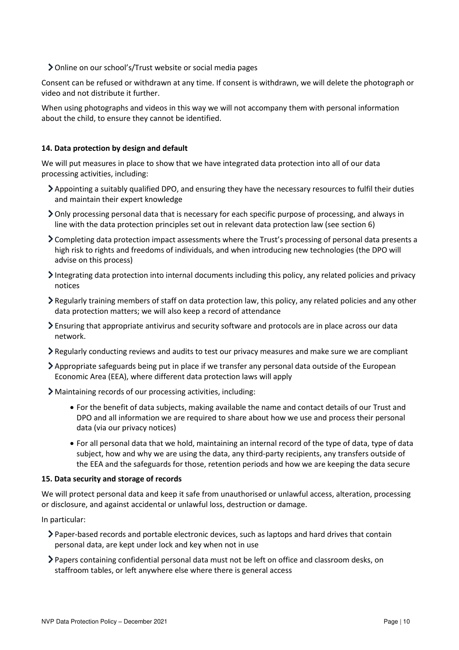Online on our school's/Trust website or social media pages

Consent can be refused or withdrawn at any time. If consent is withdrawn, we will delete the photograph or video and not distribute it further.

When using photographs and videos in this way we will not accompany them with personal information about the child, to ensure they cannot be identified.

## **14. Data protection by design and default**

We will put measures in place to show that we have integrated data protection into all of our data processing activities, including:

- Appointing a suitably qualified DPO, and ensuring they have the necessary resources to fulfil their duties and maintain their expert knowledge
- Only processing personal data that is necessary for each specific purpose of processing, and always in line with the data protection principles set out in relevant data protection law (see section 6)
- Completing data protection impact assessments where the Trust's processing of personal data presents a high risk to rights and freedoms of individuals, and when introducing new technologies (the DPO will advise on this process)
- Integrating data protection into internal documents including this policy, any related policies and privacy notices
- Regularly training members of staff on data protection law, this policy, any related policies and any other data protection matters; we will also keep a record of attendance
- Ensuring that appropriate antivirus and security software and protocols are in place across our data network.
- Regularly conducting reviews and audits to test our privacy measures and make sure we are compliant
- Appropriate safeguards being put in place if we transfer any personal data outside of the European Economic Area (EEA), where different data protection laws will apply
- Maintaining records of our processing activities, including:
	- For the benefit of data subjects, making available the name and contact details of our Trust and DPO and all information we are required to share about how we use and process their personal data (via our privacy notices)
	- For all personal data that we hold, maintaining an internal record of the type of data, type of data subject, how and why we are using the data, any third-party recipients, any transfers outside of the EEA and the safeguards for those, retention periods and how we are keeping the data secure

## **15. Data security and storage of records**

We will protect personal data and keep it safe from unauthorised or unlawful access, alteration, processing or disclosure, and against accidental or unlawful loss, destruction or damage.

In particular:

- Paper-based records and portable electronic devices, such as laptops and hard drives that contain personal data, are kept under lock and key when not in use
- Papers containing confidential personal data must not be left on office and classroom desks, on staffroom tables, or left anywhere else where there is general access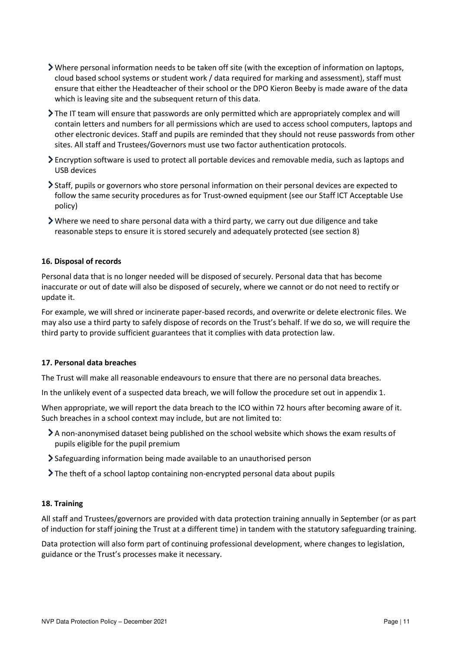- Where personal information needs to be taken off site (with the exception of information on laptops, cloud based school systems or student work / data required for marking and assessment), staff must ensure that either the Headteacher of their school or the DPO Kieron Beeby is made aware of the data which is leaving site and the subsequent return of this data.
- The IT team will ensure that passwords are only permitted which are appropriately complex and will contain letters and numbers for all permissions which are used to access school computers, laptops and other electronic devices. Staff and pupils are reminded that they should not reuse passwords from other sites. All staff and Trustees/Governors must use two factor authentication protocols.
- Encryption software is used to protect all portable devices and removable media, such as laptops and USB devices
- Staff, pupils or governors who store personal information on their personal devices are expected to follow the same security procedures as for Trust-owned equipment (see our Staff ICT Acceptable Use policy)
- Where we need to share personal data with a third party, we carry out due diligence and take reasonable steps to ensure it is stored securely and adequately protected (see section 8)

#### **16. Disposal of records**

Personal data that is no longer needed will be disposed of securely. Personal data that has become inaccurate or out of date will also be disposed of securely, where we cannot or do not need to rectify or update it.

For example, we will shred or incinerate paper-based records, and overwrite or delete electronic files. We may also use a third party to safely dispose of records on the Trust's behalf. If we do so, we will require the third party to provide sufficient guarantees that it complies with data protection law.

#### **17. Personal data breaches**

The Trust will make all reasonable endeavours to ensure that there are no personal data breaches.

In the unlikely event of a suspected data breach, we will follow the procedure set out in appendix 1.

When appropriate, we will report the data breach to the ICO within 72 hours after becoming aware of it. Such breaches in a school context may include, but are not limited to:

- A non-anonymised dataset being published on the school website which shows the exam results of pupils eligible for the pupil premium
- Safeguarding information being made available to an unauthorised person
- The theft of a school laptop containing non-encrypted personal data about pupils

#### **18. Training**

All staff and Trustees/governors are provided with data protection training annually in September (or as part of induction for staff joining the Trust at a different time) in tandem with the statutory safeguarding training.

Data protection will also form part of continuing professional development, where changes to legislation, guidance or the Trust's processes make it necessary.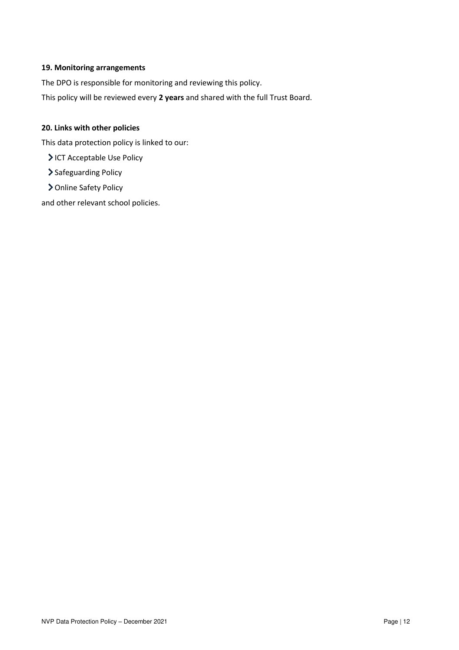# **19. Monitoring arrangements**

The DPO is responsible for monitoring and reviewing this policy.

This policy will be reviewed every **2 years** and shared with the full Trust Board.

# **20. Links with other policies**

This data protection policy is linked to our:

ICT Acceptable Use Policy

> Safeguarding Policy

> Online Safety Policy

and other relevant school policies.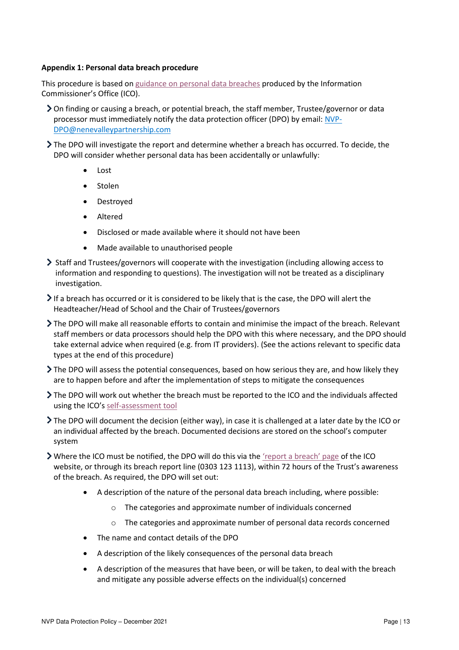## **Appendix 1: Personal data breach procedure**

This procedure is based o[n guidance on personal data breaches](https://ico.org.uk/for-organisations/guide-to-the-general-data-protection-regulation-gdpr/personal-data-breaches/) produced by the Information Commissioner's Office (ICO).

- On finding or causing a breach, or potential breach, the staff member, Trustee/governor or data processor must immediately notify the data protection officer (DPO) by email[: NVP-](mailto:NVP-DPO@nenevalleypartnership.com)[DPO@nenevalleypartnership.com](mailto:NVP-DPO@nenevalleypartnership.com)
- The DPO will investigate the report and determine whether a breach has occurred. To decide, the DPO will consider whether personal data has been accidentally or unlawfully:
	- Lost
	- Stolen
	- **Destroyed**
	- Altered
	- Disclosed or made available where it should not have been
	- Made available to unauthorised people
- Staff and Trustees/governors will cooperate with the investigation (including allowing access to information and responding to questions). The investigation will not be treated as a disciplinary investigation.
- If a breach has occurred or it is considered to be likely that is the case, the DPO will alert the Headteacher/Head of School and the Chair of Trustees/governors
- The DPO will make all reasonable efforts to contain and minimise the impact of the breach. Relevant staff members or data processors should help the DPO with this where necessary, and the DPO should take external advice when required (e.g. from IT providers). (See the actions relevant to specific data types at the end of this procedure)
- The DPO will assess the potential consequences, based on how serious they are, and how likely they are to happen before and after the implementation of steps to mitigate the consequences
- The DPO will work out whether the breach must be reported to the ICO and the individuals affected using the ICO's [self-assessment tool](https://ico.org.uk/for-organisations/report-a-breach/personal-data-breach-assessment/)
- The DPO will document the decision (either way), in case it is challenged at a later date by the ICO or an individual affected by the breach. Documented decisions are stored on the school's computer system
- Where the ICO must be notified, the DPO will do this via the ['report a breach' page](https://ico.org.uk/for-organisations/report-a-breach/) of the ICO website, or through its breach report line (0303 123 1113), within 72 hours of the Trust's awareness of the breach. As required, the DPO will set out:
	- A description of the nature of the personal data breach including, where possible:
		- o The categories and approximate number of individuals concerned
		- o The categories and approximate number of personal data records concerned
	- The name and contact details of the DPO
	- A description of the likely consequences of the personal data breach
	- A description of the measures that have been, or will be taken, to deal with the breach and mitigate any possible adverse effects on the individual(s) concerned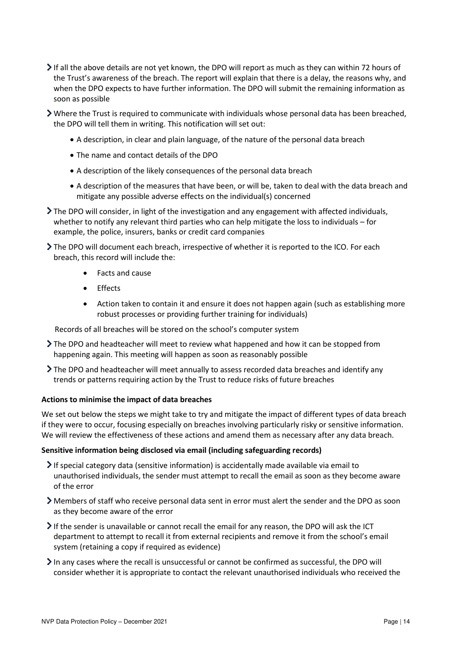- If all the above details are not yet known, the DPO will report as much as they can within 72 hours of the Trust's awareness of the breach. The report will explain that there is a delay, the reasons why, and when the DPO expects to have further information. The DPO will submit the remaining information as soon as possible
- Where the Trust is required to communicate with individuals whose personal data has been breached, the DPO will tell them in writing. This notification will set out:
	- A description, in clear and plain language, of the nature of the personal data breach
	- The name and contact details of the DPO
	- A description of the likely consequences of the personal data breach
	- A description of the measures that have been, or will be, taken to deal with the data breach and mitigate any possible adverse effects on the individual(s) concerned
- The DPO will consider, in light of the investigation and any engagement with affected individuals, whether to notify any relevant third parties who can help mitigate the loss to individuals – for example, the police, insurers, banks or credit card companies
- The DPO will document each breach, irrespective of whether it is reported to the ICO. For each breach, this record will include the:
	- Facts and cause
	- **Effects**
	- Action taken to contain it and ensure it does not happen again (such as establishing more robust processes or providing further training for individuals)

Records of all breaches will be stored on the school's computer system

- The DPO and headteacher will meet to review what happened and how it can be stopped from happening again. This meeting will happen as soon as reasonably possible
- The DPO and headteacher will meet annually to assess recorded data breaches and identify any trends or patterns requiring action by the Trust to reduce risks of future breaches

## **Actions to minimise the impact of data breaches**

We set out below the steps we might take to try and mitigate the impact of different types of data breach if they were to occur, focusing especially on breaches involving particularly risky or sensitive information. We will review the effectiveness of these actions and amend them as necessary after any data breach.

## **Sensitive information being disclosed via email (including safeguarding records)**

- If special category data (sensitive information) is accidentally made available via email to unauthorised individuals, the sender must attempt to recall the email as soon as they become aware of the error
- Members of staff who receive personal data sent in error must alert the sender and the DPO as soon as they become aware of the error
- If the sender is unavailable or cannot recall the email for any reason, the DPO will ask the ICT department to attempt to recall it from external recipients and remove it from the school's email system (retaining a copy if required as evidence)
- $\geq$  In any cases where the recall is unsuccessful or cannot be confirmed as successful, the DPO will consider whether it is appropriate to contact the relevant unauthorised individuals who received the